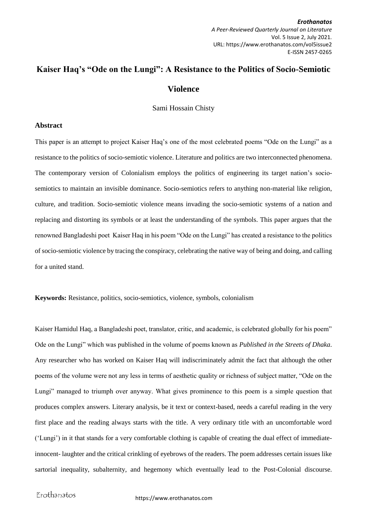*Erothanatos A Peer-Reviewed Quarterly Journal on Literature* Vol. 5 Issue 2, July 2021. URL: https://www.erothanatos.com/vol5issue2 E-ISSN 2457-0265

## **Kaiser Haq's "Ode on the Lungi": A Resistance to the Politics of Socio-Semiotic Violence**

Sami Hossain Chisty

## **Abstract**

This paper is an attempt to project Kaiser Haq's one of the most celebrated poems "Ode on the Lungi" as a resistance to the politics of socio-semiotic violence. Literature and politics are two interconnected phenomena. The contemporary version of Colonialism employs the politics of engineering its target nation's sociosemiotics to maintain an invisible dominance. Socio-semiotics refers to anything non-material like religion, culture, and tradition. Socio-semiotic violence means invading the socio-semiotic systems of a nation and replacing and distorting its symbols or at least the understanding of the symbols. This paper argues that the renowned Bangladeshi poet Kaiser Haq in his poem "Ode on the Lungi" has created a resistance to the politics of socio-semiotic violence by tracing the conspiracy, celebrating the native way of being and doing, and calling for a united stand.

**Keywords:** Resistance, politics, socio-semiotics, violence, symbols, colonialism

Kaiser Hamidul Haq, a Bangladeshi poet, translator, critic, and academic, is celebrated globally for his poem" Ode on the Lungi" which was published in the volume of poems known as *Published in the Streets of Dhaka*. Any researcher who has worked on Kaiser Haq will indiscriminately admit the fact that although the other poems of the volume were not any less in terms of aesthetic quality or richness of subject matter, "Ode on the Lungi" managed to triumph over anyway. What gives prominence to this poem is a simple question that produces complex answers. Literary analysis, be it text or context-based, needs a careful reading in the very first place and the reading always starts with the title. A very ordinary title with an uncomfortable word ('Lungi') in it that stands for a very comfortable clothing is capable of creating the dual effect of immediateinnocent- laughter and the critical crinkling of eyebrows of the readers. The poem addresses certain issues like sartorial inequality, subalternity, and hegemony which eventually lead to the Post-Colonial discourse.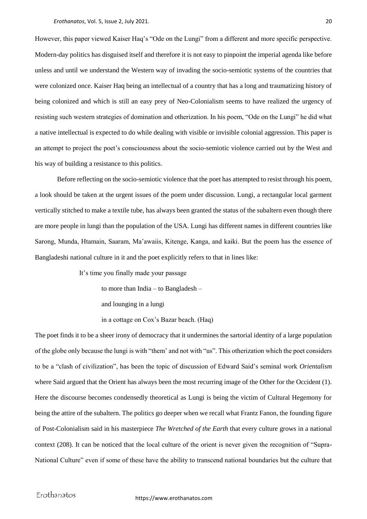However, this paper viewed Kaiser Haq's "Ode on the Lungi" from a different and more specific perspective. Modern-day politics has disguised itself and therefore it is not easy to pinpoint the imperial agenda like before unless and until we understand the Western way of invading the socio-semiotic systems of the countries that were colonized once. Kaiser Haq being an intellectual of a country that has a long and traumatizing history of being colonized and which is still an easy prey of Neo-Colonialism seems to have realized the urgency of resisting such western strategies of domination and otherization. In his poem, "Ode on the Lungi" he did what a native intellectual is expected to do while dealing with visible or invisible colonial aggression. This paper is an attempt to project the poet's consciousness about the socio-semiotic violence carried out by the West and his way of building a resistance to this politics.

Before reflecting on the socio-semiotic violence that the poet has attempted to resist through his poem, a look should be taken at the urgent issues of the poem under discussion. Lungi, a rectangular local garment vertically stitched to make a textile tube, has always been granted the status of the subaltern even though there are more people in lungi than the population of the USA. Lungi has different names in different countries like Sarong, Munda, Htamain, Saaram, Ma'awaiis, Kitenge, Kanga, and kaiki. But the poem has the essence of Bangladeshi national culture in it and the poet explicitly refers to that in lines like:

It's time you finally made your passage

to more than India – to Bangladesh –

and lounging in a lungi

in a cottage on Cox's Bazar beach. (Haq)

The poet finds it to be a sheer irony of democracy that it undermines the sartorial identity of a large population of the globe only because the lungi is with "them' and not with "us". This otherization which the poet considers to be a "clash of civilization", has been the topic of discussion of Edward Said's seminal work *Orientalism* where Said argued that the Orient has always been the most recurring image of the Other for the Occident (1). Here the discourse becomes condensedly theoretical as Lungi is being the victim of Cultural Hegemony for being the attire of the subaltern. The politics go deeper when we recall what Frantz Fanon, the founding figure of Post-Colonialism said in his masterpiece *The Wretched of the Earth* that every culture grows in a national context (208). It can be noticed that the local culture of the orient is never given the recognition of "Supra-National Culture" even if some of these have the ability to transcend national boundaries but the culture that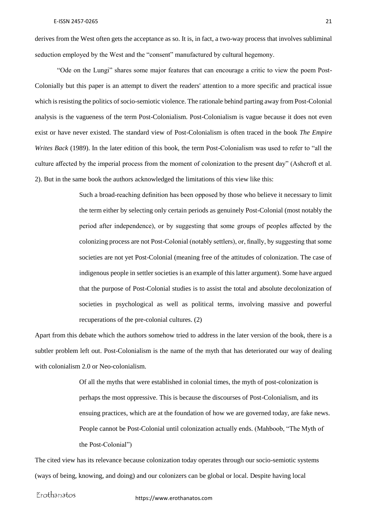derives from the West often gets the acceptance as so. It is, in fact, a two-way process that involves subliminal seduction employed by the West and the "consent" manufactured by cultural hegemony.

"Ode on the Lungi" shares some major features that can encourage a critic to view the poem Post-Colonially but this paper is an attempt to divert the readers' attention to a more specific and practical issue which is resisting the politics of socio-semiotic violence. The rationale behind parting away from Post-Colonial analysis is the vagueness of the term Post-Colonialism. Post-Colonialism is vague because it does not even exist or have never existed. The standard view of Post-Colonialism is often traced in the book *The Empire Writes Back* (1989). In the later edition of this book, the term Post-Colonialism was used to refer to "all the culture affected by the imperial process from the moment of colonization to the present day" (Ashcroft et al. 2). But in the same book the authors acknowledged the limitations of this view like this:

> Such a broad-reaching definition has been opposed by those who believe it necessary to limit the term either by selecting only certain periods as genuinely Post-Colonial (most notably the period after independence), or by suggesting that some groups of peoples affected by the colonizing process are not Post-Colonial (notably settlers), or, finally, by suggesting that some societies are not yet Post-Colonial (meaning free of the attitudes of colonization. The case of indigenous people in settler societies is an example of this latter argument). Some have argued that the purpose of Post-Colonial studies is to assist the total and absolute decolonization of societies in psychological as well as political terms, involving massive and powerful recuperations of the pre-colonial cultures. (2)

Apart from this debate which the authors somehow tried to address in the later version of the book, there is a subtler problem left out. Post-Colonialism is the name of the myth that has deteriorated our way of dealing with colonialism 2.0 or Neo-colonialism.

> Of all the myths that were established in colonial times, the myth of post-colonization is perhaps the most oppressive. This is because the discourses of Post-Colonialism, and its ensuing practices, which are at the foundation of how we are governed today, are fake news. People cannot be Post-Colonial until colonization actually ends. (Mahboob, "The Myth of the Post-Colonial")

The cited view has its relevance because colonization today operates through our socio-semiotic systems (ways of being, knowing, and doing) and our colonizers can be global or local. Despite having local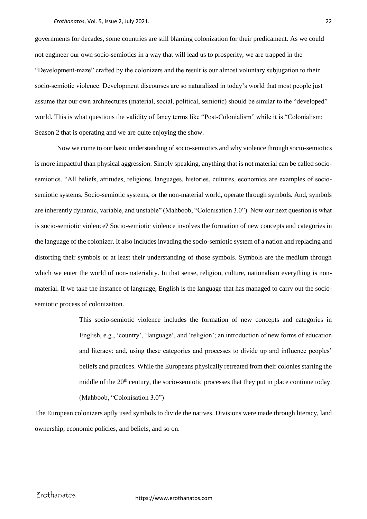governments for decades, some countries are still blaming colonization for their predicament. As we could not engineer our own socio-semiotics in a way that will lead us to prosperity, we are trapped in the "Development-maze" crafted by the colonizers and the result is our almost voluntary subjugation to their socio-semiotic violence. Development discourses are so naturalized in today's world that most people just assume that our own architectures (material, social, political, semiotic) should be similar to the "developed" world. This is what questions the validity of fancy terms like "Post-Colonialism" while it is "Colonialism: Season 2 that is operating and we are quite enjoying the show.

Now we come to our basic understanding of socio-semiotics and why violence through socio-semiotics is more impactful than physical aggression. Simply speaking, anything that is not material can be called sociosemiotics. "All beliefs, attitudes, religions, languages, histories, cultures, economics are examples of sociosemiotic systems. Socio-semiotic systems, or the non-material world, operate through symbols. And, symbols are inherently dynamic, variable, and unstable" (Mahboob, "Colonisation 3.0"). Now our next question is what is socio-semiotic violence? Socio-semiotic violence involves the formation of new concepts and categories in the language of the colonizer. It also includes invading the socio-semiotic system of a nation and replacing and distorting their symbols or at least their understanding of those symbols. Symbols are the medium through which we enter the world of non-materiality. In that sense, religion, culture, nationalism everything is nonmaterial. If we take the instance of language, English is the language that has managed to carry out the sociosemiotic process of colonization.

> This socio-semiotic violence includes the formation of new concepts and categories in English, e.g., 'country', 'language', and 'religion'; an introduction of new forms of education and literacy; and, using these categories and processes to divide up and influence peoples' beliefs and practices. While the Europeans physically retreated from their colonies starting the middle of the  $20<sup>th</sup>$  century, the socio-semiotic processes that they put in place continue today. (Mahboob, "Colonisation 3.0")

The European colonizers aptly used symbols to divide the natives. Divisions were made through literacy, land ownership, economic policies, and beliefs, and so on.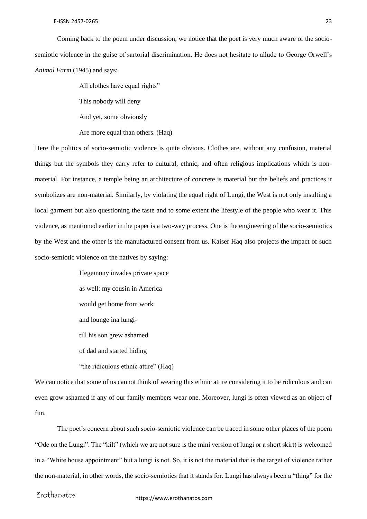Coming back to the poem under discussion, we notice that the poet is very much aware of the sociosemiotic violence in the guise of sartorial discrimination. He does not hesitate to allude to George Orwell's *Animal Farm* (1945) and says:

All clothes have equal rights"

This nobody will deny

And yet, some obviously

Are more equal than others. (Haq)

Here the politics of socio-semiotic violence is quite obvious. Clothes are, without any confusion, material things but the symbols they carry refer to cultural, ethnic, and often religious implications which is nonmaterial. For instance, a temple being an architecture of concrete is material but the beliefs and practices it symbolizes are non-material. Similarly, by violating the equal right of Lungi, the West is not only insulting a local garment but also questioning the taste and to some extent the lifestyle of the people who wear it. This violence, as mentioned earlier in the paper is a two-way process. One is the engineering of the socio-semiotics by the West and the other is the manufactured consent from us. Kaiser Haq also projects the impact of such socio-semiotic violence on the natives by saying:

> Hegemony invades private space as well: my cousin in America would get home from work and lounge ina lungitill his son grew ashamed of dad and started hiding "the ridiculous ethnic attire" (Haq)

We can notice that some of us cannot think of wearing this ethnic attire considering it to be ridiculous and can even grow ashamed if any of our family members wear one. Moreover, lungi is often viewed as an object of fun.

The poet's concern about such socio-semiotic violence can be traced in some other places of the poem "Ode on the Lungi". The "kilt" (which we are not sure is the mini version of lungi or a short skirt) is welcomed in a "White house appointment" but a lungi is not. So, it is not the material that is the target of violence rather the non-material, in other words, the socio-semiotics that it stands for. Lungi has always been a "thing" for the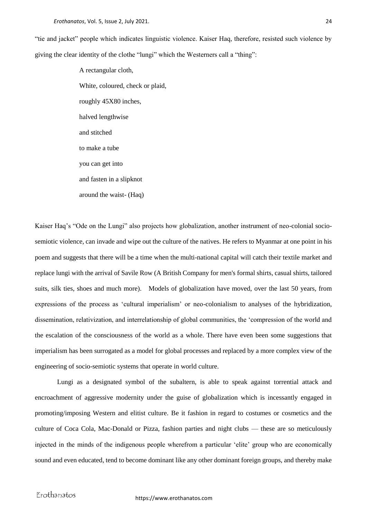"tie and jacket" people which indicates linguistic violence. Kaiser Haq, therefore, resisted such violence by giving the clear identity of the clothe "lungi" which the Westerners call a "thing":

> A rectangular cloth, White, coloured, check or plaid, roughly 45X80 inches, halved lengthwise and stitched to make a tube you can get into and fasten in a slipknot around the waist- (Haq)

Kaiser Haq's "Ode on the Lungi" also projects how globalization, another instrument of neo-colonial sociosemiotic violence, can invade and wipe out the culture of the natives. He refers to Myanmar at one point in his poem and suggests that there will be a time when the multi-national capital will catch their textile market and replace lungi with the arrival of Savile Row (A British Company for men's formal shirts, casual shirts, tailored suits, silk ties, shoes and much more). Models of globalization have moved, over the last 50 years, from expressions of the process as 'cultural imperialism' or neo-colonialism to analyses of the hybridization, dissemination, relativization, and interrelationship of global communities, the 'compression of the world and the escalation of the consciousness of the world as a whole. There have even been some suggestions that imperialism has been surrogated as a model for global processes and replaced by a more complex view of the engineering of socio-semiotic systems that operate in world culture.

Lungi as a designated symbol of the subaltern, is able to speak against torrential attack and encroachment of aggressive modernity under the guise of globalization which is incessantly engaged in promoting/imposing Western and elitist culture. Be it fashion in regard to costumes or cosmetics and the culture of Coca Cola, Mac-Donald or Pizza, fashion parties and night clubs — these are so meticulously injected in the minds of the indigenous people wherefrom a particular 'elite' group who are economically sound and even educated, tend to become dominant like any other dominant foreign groups, and thereby make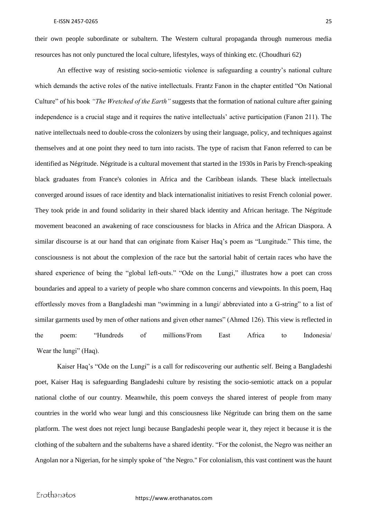their own people subordinate or subaltern. The Western cultural propaganda through numerous media resources has not only punctured the local culture, lifestyles, ways of thinking etc. (Choudhuri 62)

An effective way of resisting socio-semiotic violence is safeguarding a country's national culture which demands the active roles of the native intellectuals. Frantz Fanon in the chapter entitled "On National Culture" of his book *"The Wretched of the Earth"* suggests that the formation of national culture after gaining independence is a crucial stage and it requires the native intellectuals' active participation (Fanon 211). The native intellectuals need to double-cross the colonizers by using their language, policy, and techniques against themselves and at one point they need to turn into racists. The type of racism that Fanon referred to can be identified as Négritude. Négritude is a cultural movement that started in the 1930s in Paris by French-speaking black graduates from France's colonies in Africa and the Caribbean islands. These black intellectuals converged around issues of race identity and black internationalist initiatives to resist French colonial power. They took pride in and found solidarity in their shared black identity and African heritage. The Négritude movement beaconed an awakening of race consciousness for blacks in Africa and the African Diaspora. A similar discourse is at our hand that can originate from Kaiser Haq's poem as "Lungitude." This time, the consciousness is not about the complexion of the race but the sartorial habit of certain races who have the shared experience of being the "global left-outs." "Ode on the Lungi," illustrates how a poet can cross boundaries and appeal to a variety of people who share common concerns and viewpoints. In this poem, Haq effortlessly moves from a Bangladeshi man "swimming in a lungi/ abbreviated into a G-string" to a list of similar garments used by men of other nations and given other names" (Ahmed 126). This view is reflected in the poem: "Hundreds of millions/From East Africa to Indonesia/ Wear the lungi" (Haq).

Kaiser Haq's "Ode on the Lungi" is a call for rediscovering our authentic self. Being a Bangladeshi poet, Kaiser Haq is safeguarding Bangladeshi culture by resisting the socio-semiotic attack on a popular national clothe of our country. Meanwhile, this poem conveys the shared interest of people from many countries in the world who wear lungi and this consciousness like Négritude can bring them on the same platform. The west does not reject lungi because Bangladeshi people wear it, they reject it because it is the clothing of the subaltern and the subalterns have a shared identity. "For the colonist, the Negro was neither an Angolan nor a Nigerian, for he simply spoke of "the Negro." For colonialism, this vast continent was the haunt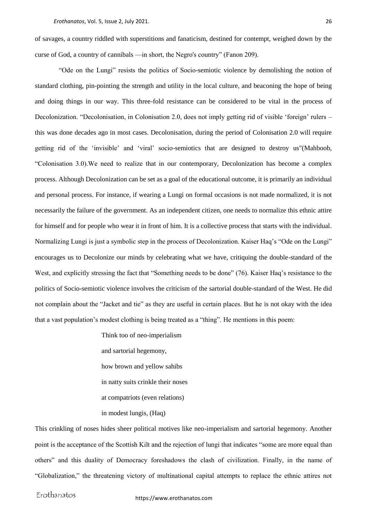of savages, a country riddled with superstitions and fanaticism, destined for contempt, weighed down by the curse of God, a country of cannibals —in short, the Negro's country" (Fanon 209).

"Ode on the Lungi" resists the politics of Socio-semiotic violence by demolishing the notion of standard clothing, pin-pointing the strength and utility in the local culture, and beaconing the hope of being and doing things in our way. This three-fold resistance can be considered to be vital in the process of Decolonization. "Decolonisation, in Colonisation 2.0, does not imply getting rid of visible 'foreign' rulers – this was done decades ago in most cases. Decolonisation, during the period of Colonisation 2.0 will require getting rid of the 'invisible' and 'viral' socio-semiotics that are designed to destroy us"(Mahboob, "Colonisation 3.0).We need to realize that in our contemporary, Decolonization has become a complex process. Although Decolonization can be set as a goal of the educational outcome, it is primarily an individual and personal process. For instance, if wearing a Lungi on formal occasions is not made normalized, it is not necessarily the failure of the government. As an independent citizen, one needs to normalize this ethnic attire for himself and for people who wear it in front of him. It is a collective process that starts with the individual. Normalizing Lungi is just a symbolic step in the process of Decolonization. Kaiser Haq's "Ode on the Lungi" encourages us to Decolonize our minds by celebrating what we have, critiquing the double-standard of the West, and explicitly stressing the fact that "Something needs to be done" (76). Kaiser Haq's resistance to the politics of Socio-semiotic violence involves the criticism of the sartorial double-standard of the West. He did not complain about the "Jacket and tie" as they are useful in certain places. But he is not okay with the idea that a vast population's modest clothing is being treated as a "thing". He mentions in this poem:

> Think too of neo-imperialism and sartorial hegemony, how brown and yellow sahibs in natty suits crinkle their noses at compatriots (even relations) in modest lungis, (Haq)

This crinkling of noses hides sheer political motives like neo-imperialism and sartorial hegemony. Another point is the acceptance of the Scottish Kilt and the rejection of lungi that indicates "some are more equal than others" and this duality of Democracy foreshadows the clash of civilization. Finally, in the name of "Globalization," the threatening victory of multinational capital attempts to replace the ethnic attires not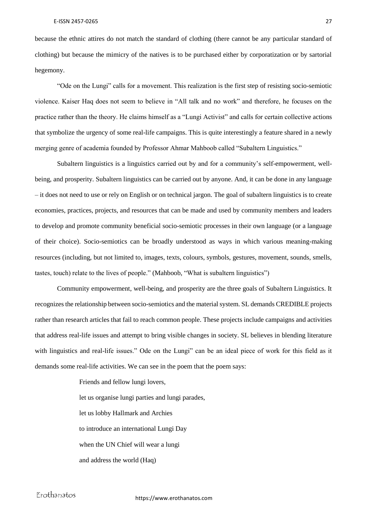because the ethnic attires do not match the standard of clothing (there cannot be any particular standard of clothing) but because the mimicry of the natives is to be purchased either by corporatization or by sartorial hegemony.

"Ode on the Lungi" calls for a movement. This realization is the first step of resisting socio-semiotic violence. Kaiser Haq does not seem to believe in "All talk and no work" and therefore, he focuses on the practice rather than the theory. He claims himself as a "Lungi Activist" and calls for certain collective actions that symbolize the urgency of some real-life campaigns. This is quite interestingly a feature shared in a newly merging genre of academia founded by Professor Ahmar Mahboob called "Subaltern Linguistics."

Subaltern linguistics is a linguistics carried out by and for a community's self-empowerment, wellbeing, and prosperity. Subaltern linguistics can be carried out by anyone. And, it can be done in any language – it does not need to use or rely on English or on technical jargon. The goal of subaltern linguistics is to create economies, practices, projects, and resources that can be made and used by community members and leaders to develop and promote community beneficial socio-semiotic processes in their own language (or a language of their choice). Socio-semiotics can be broadly understood as ways in which various meaning-making resources (including, but not limited to, images, texts, colours, symbols, gestures, movement, sounds, smells, tastes, touch) relate to the lives of people." (Mahboob, "What is subaltern linguistics")

Community empowerment, well-being, and prosperity are the three goals of Subaltern Linguistics. It recognizes the relationship between socio-semiotics and the material system. SL demands CREDIBLE projects rather than research articles that fail to reach common people. These projects include campaigns and activities that address real-life issues and attempt to bring visible changes in society. SL believes in blending literature with linguistics and real-life issues." Ode on the Lungi" can be an ideal piece of work for this field as it demands some real-life activities. We can see in the poem that the poem says:

> Friends and fellow lungi lovers, let us organise lungi parties and lungi parades, let us lobby Hallmark and Archies to introduce an international Lungi Day when the UN Chief will wear a lungi and address the world (Haq)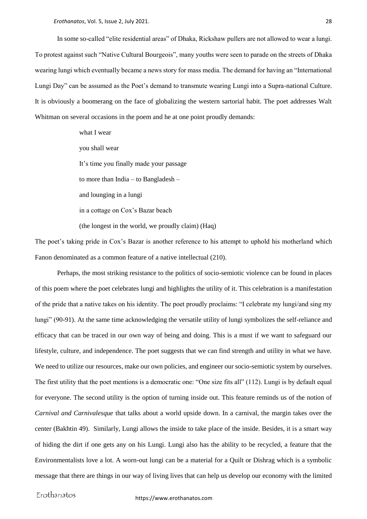*Erothanatos*, Vol. 5, Issue 2, July 2021. 28

In some so-called "elite residential areas" of Dhaka, Rickshaw pullers are not allowed to wear a lungi. To protest against such "Native Cultural Bourgeois", many youths were seen to parade on the streets of Dhaka wearing lungi which eventually became a news story for mass media. The demand for having an "International Lungi Day" can be assumed as the Poet's demand to transmute wearing Lungi into a Supra-national Culture. It is obviously a boomerang on the face of globalizing the western sartorial habit. The poet addresses Walt Whitman on several occasions in the poem and he at one point proudly demands:

> what I wear you shall wear It's time you finally made your passage to more than India – to Bangladesh – and lounging in a lungi in a cottage on Cox's Bazar beach (the longest in the world, we proudly claim) (Haq)

The poet's taking pride in Cox's Bazar is another reference to his attempt to uphold his motherland which Fanon denominated as a common feature of a native intellectual (210).

Perhaps, the most striking resistance to the politics of socio-semiotic violence can be found in places of this poem where the poet celebrates lungi and highlights the utility of it. This celebration is a manifestation of the pride that a native takes on his identity. The poet proudly proclaims: "I celebrate my lungi/and sing my lungi" (90-91). At the same time acknowledging the versatile utility of lungi symbolizes the self-reliance and efficacy that can be traced in our own way of being and doing. This is a must if we want to safeguard our lifestyle, culture, and independence. The poet suggests that we can find strength and utility in what we have. We need to utilize our resources, make our own policies, and engineer our socio-semiotic system by ourselves. The first utility that the poet mentions is a democratic one: "One size fits all" (112). Lungi is by default equal for everyone. The second utility is the option of turning inside out. This feature reminds us of the notion of *Carnival and Carnivalesque* that talks about a world upside down. In a carnival, the margin takes over the center (Bakhtin 49). Similarly, Lungi allows the inside to take place of the inside. Besides, it is a smart way of hiding the dirt if one gets any on his Lungi. Lungi also has the ability to be recycled, a feature that the Environmentalists love a lot. A worn-out lungi can be a material for a Quilt or Dishrag which is a symbolic message that there are things in our way of living lives that can help us develop our economy with the limited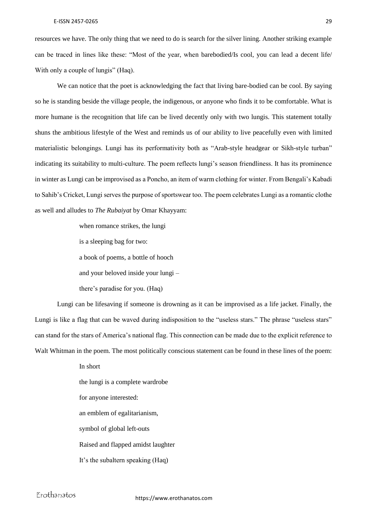resources we have. The only thing that we need to do is search for the silver lining. Another striking example can be traced in lines like these: "Most of the year, when barebodied/Is cool, you can lead a decent life/ With only a couple of lungis" (Haq).

We can notice that the poet is acknowledging the fact that living bare-bodied can be cool. By saying so he is standing beside the village people, the indigenous, or anyone who finds it to be comfortable. What is more humane is the recognition that life can be lived decently only with two lungis. This statement totally shuns the ambitious lifestyle of the West and reminds us of our ability to live peacefully even with limited materialistic belongings. Lungi has its performativity both as "Arab-style headgear or Sikh-style turban" indicating its suitability to multi-culture. The poem reflects lungi's season friendliness. It has its prominence in winter as Lungi can be improvised as a Poncho, an item of warm clothing for winter. From Bengali's Kabadi to Sahib's Cricket, Lungi serves the purpose of sportswear too. The poem celebrates Lungi as a romantic clothe as well and alludes to *The Rubaiyat* by Omar Khayyam:

> when romance strikes, the lungi is a sleeping bag for two: a book of poems, a bottle of hooch and your beloved inside your lungi – there's paradise for you. (Haq)

Lungi can be lifesaving if someone is drowning as it can be improvised as a life jacket. Finally, the Lungi is like a flag that can be waved during indisposition to the "useless stars." The phrase "useless stars" can stand for the stars of America's national flag. This connection can be made due to the explicit reference to Walt Whitman in the poem. The most politically conscious statement can be found in these lines of the poem:

> In short the lungi is a complete wardrobe for anyone interested: an emblem of egalitarianism, symbol of global left-outs Raised and flapped amidst laughter It's the subaltern speaking (Haq)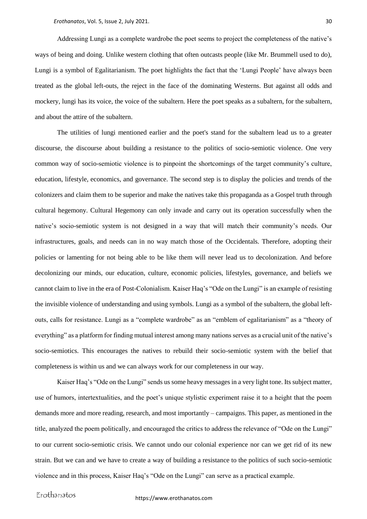Addressing Lungi as a complete wardrobe the poet seems to project the completeness of the native's ways of being and doing. Unlike western clothing that often outcasts people (like Mr. Brummell used to do), Lungi is a symbol of Egalitarianism. The poet highlights the fact that the 'Lungi People' have always been treated as the global left-outs, the reject in the face of the dominating Westerns. But against all odds and mockery, lungi has its voice, the voice of the subaltern. Here the poet speaks as a subaltern, for the subaltern, and about the attire of the subaltern.

The utilities of lungi mentioned earlier and the poet's stand for the subaltern lead us to a greater discourse, the discourse about building a resistance to the politics of socio-semiotic violence. One very common way of socio-semiotic violence is to pinpoint the shortcomings of the target community's culture, education, lifestyle, economics, and governance. The second step is to display the policies and trends of the colonizers and claim them to be superior and make the natives take this propaganda as a Gospel truth through cultural hegemony. Cultural Hegemony can only invade and carry out its operation successfully when the native's socio-semiotic system is not designed in a way that will match their community's needs. Our infrastructures, goals, and needs can in no way match those of the Occidentals. Therefore, adopting their policies or lamenting for not being able to be like them will never lead us to decolonization. And before decolonizing our minds, our education, culture, economic policies, lifestyles, governance, and beliefs we cannot claim to live in the era of Post-Colonialism. Kaiser Haq's "Ode on the Lungi" is an example of resisting the invisible violence of understanding and using symbols. Lungi as a symbol of the subaltern, the global leftouts, calls for resistance. Lungi as a "complete wardrobe" as an "emblem of egalitarianism" as a "theory of everything" as a platform for finding mutual interest among many nations serves as a crucial unit of the native's socio-semiotics. This encourages the natives to rebuild their socio-semiotic system with the belief that completeness is within us and we can always work for our completeness in our way.

Kaiser Haq's "Ode on the Lungi" sends us some heavy messages in a very light tone. Its subject matter, use of humors, intertextualities, and the poet's unique stylistic experiment raise it to a height that the poem demands more and more reading, research, and most importantly – campaigns. This paper, as mentioned in the title, analyzed the poem politically, and encouraged the critics to address the relevance of "Ode on the Lungi" to our current socio-semiotic crisis. We cannot undo our colonial experience nor can we get rid of its new strain. But we can and we have to create a way of building a resistance to the politics of such socio-semiotic violence and in this process, Kaiser Haq's "Ode on the Lungi" can serve as a practical example.